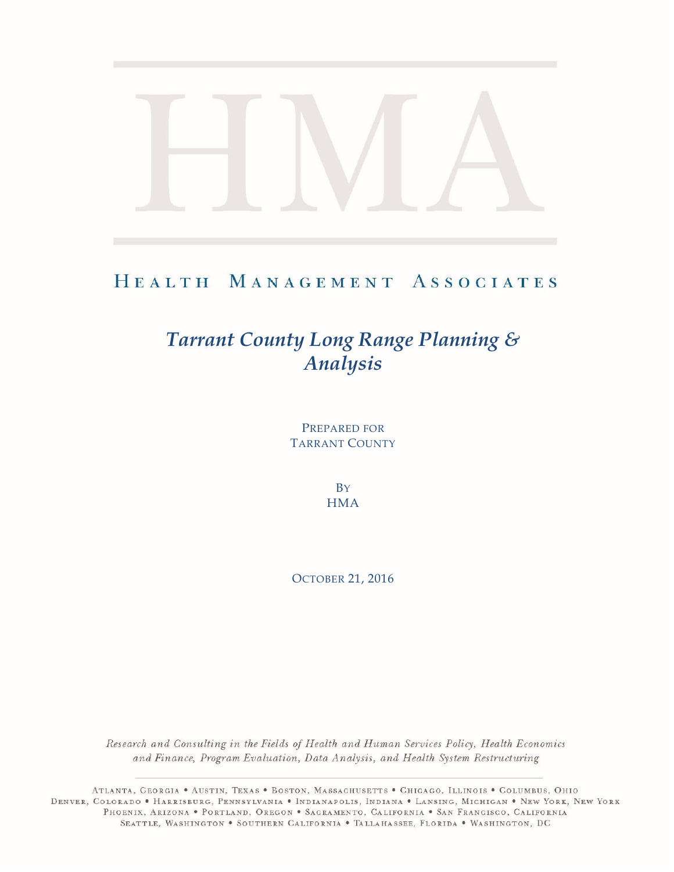# HEALTH MANAGEMENT ASSOCIATES

# *Tarrant County Long Range Planning & Analysis*

PREPARED FOR TARRANT COUNTY

> **B**Y **HMA**

OCTOBER 21, 2016

Research and Consulting in the Fields of Health and Human Services Policy, Health Economics and Finance, Program Evaluation, Data Analysis, and Health System Restructuring

ATLANTA, GEORGIA . AUSTIN, TEXAS . BOSTON, MASSACHUSETTS . CHICAGO, ILLINOIS . COLUMBUS, OHIO DENVER, COLORADO • HARRISBURG, PENNSYLVANIA • INDIANAPOLIS, INDIANA • LANSING, MICHIGAN • NEW YORK, NEW YORK PHOENIX, ARIZONA . PORTLAND, OREGON . SACRAMENTO, CALIFORNIA . SAN FRANCISCO, CALIFORNIA SEATTLE, WASHINGTON . SOUTHERN CALIFORNIA . TALLAHASSEE, FLORIDA . WASHINGTON, DC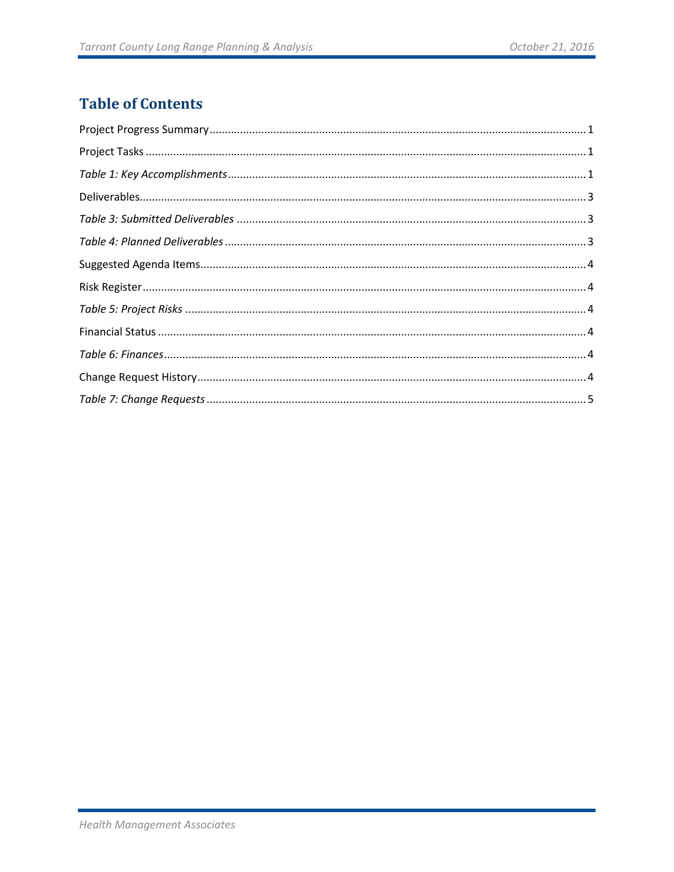# **Table of Contents**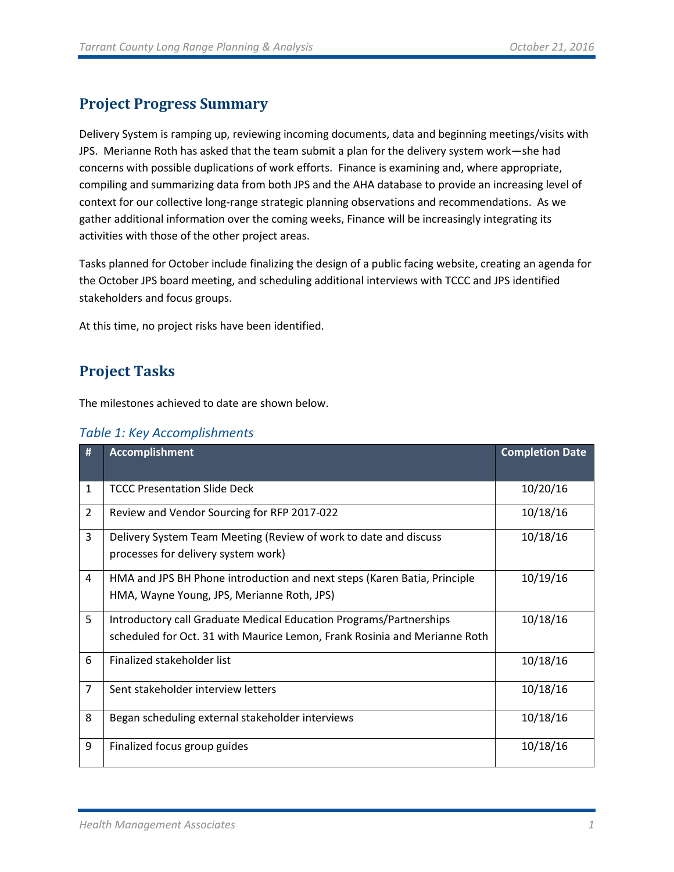## <span id="page-2-0"></span>**Project Progress Summary**

Delivery System is ramping up, reviewing incoming documents, data and beginning meetings/visits with JPS. Merianne Roth has asked that the team submit a plan for the delivery system work—she had concerns with possible duplications of work efforts. Finance is examining and, where appropriate, compiling and summarizing data from both JPS and the AHA database to provide an increasing level of context for our collective long-range strategic planning observations and recommendations. As we gather additional information over the coming weeks, Finance will be increasingly integrating its activities with those of the other project areas.

Tasks planned for October include finalizing the design of a public facing website, creating an agenda for the October JPS board meeting, and scheduling additional interviews with TCCC and JPS identified stakeholders and focus groups.

<span id="page-2-1"></span>At this time, no project risks have been identified.

### **Project Tasks**

The milestones achieved to date are shown below.

<span id="page-2-2"></span>

|  | Table 1: Key Accomplishments |  |
|--|------------------------------|--|
|  |                              |  |

| #              | <b>Accomplishment</b>                                                                                                  | <b>Completion Date</b> |
|----------------|------------------------------------------------------------------------------------------------------------------------|------------------------|
|                |                                                                                                                        |                        |
| $\mathbf{1}$   | <b>TCCC Presentation Slide Deck</b>                                                                                    | 10/20/16               |
| $\overline{2}$ | Review and Vendor Sourcing for RFP 2017-022                                                                            | 10/18/16               |
| 3              | Delivery System Team Meeting (Review of work to date and discuss<br>processes for delivery system work)                | 10/18/16               |
| 4              | HMA and JPS BH Phone introduction and next steps (Karen Batia, Principle<br>HMA, Wayne Young, JPS, Merianne Roth, JPS) | 10/19/16               |
| 5              | Introductory call Graduate Medical Education Programs/Partnerships                                                     | 10/18/16               |
|                | scheduled for Oct. 31 with Maurice Lemon, Frank Rosinia and Merianne Roth                                              |                        |
| 6              | Finalized stakeholder list                                                                                             | 10/18/16               |
| $\overline{7}$ | Sent stakeholder interview letters                                                                                     | 10/18/16               |
| 8              | Began scheduling external stakeholder interviews                                                                       | 10/18/16               |
| 9              | Finalized focus group guides                                                                                           | 10/18/16               |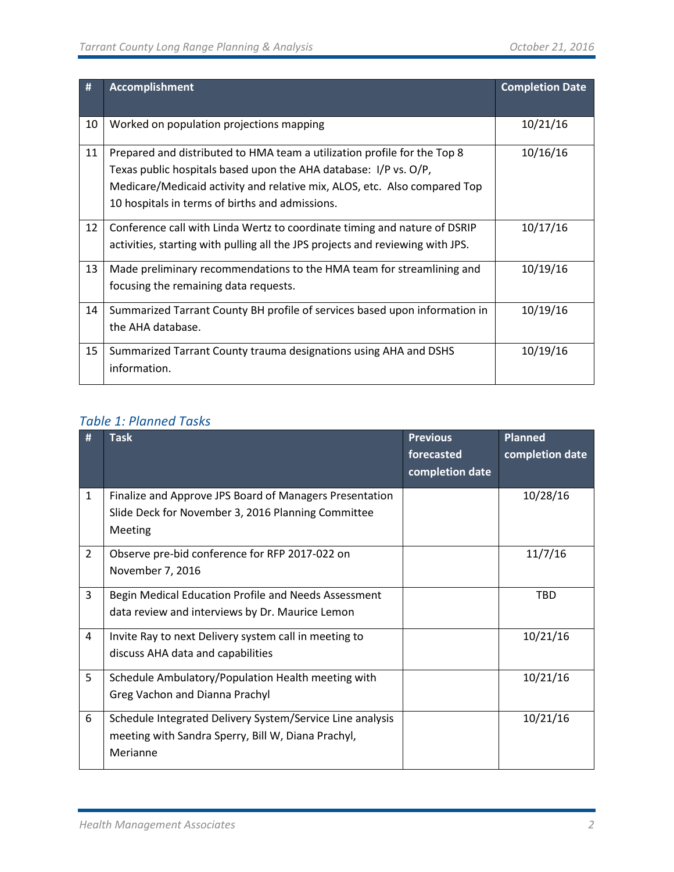| #  | <b>Accomplishment</b>                                                                                                                                                                                                                                                        | <b>Completion Date</b> |
|----|------------------------------------------------------------------------------------------------------------------------------------------------------------------------------------------------------------------------------------------------------------------------------|------------------------|
| 10 | Worked on population projections mapping                                                                                                                                                                                                                                     | 10/21/16               |
| 11 | Prepared and distributed to HMA team a utilization profile for the Top 8<br>Texas public hospitals based upon the AHA database: I/P vs. O/P,<br>Medicare/Medicaid activity and relative mix, ALOS, etc. Also compared Top<br>10 hospitals in terms of births and admissions. | 10/16/16               |
| 12 | Conference call with Linda Wertz to coordinate timing and nature of DSRIP<br>activities, starting with pulling all the JPS projects and reviewing with JPS.                                                                                                                  | 10/17/16               |
| 13 | Made preliminary recommendations to the HMA team for streamlining and<br>focusing the remaining data requests.                                                                                                                                                               | 10/19/16               |
| 14 | Summarized Tarrant County BH profile of services based upon information in<br>the AHA database.                                                                                                                                                                              | 10/19/16               |
| 15 | Summarized Tarrant County trauma designations using AHA and DSHS<br>information.                                                                                                                                                                                             | 10/19/16               |

#### *Table 1: Planned Tasks*

| #              | <b>Task</b>                                                                                                                 | <b>Previous</b><br>forecasted<br>completion date | <b>Planned</b><br>completion date |
|----------------|-----------------------------------------------------------------------------------------------------------------------------|--------------------------------------------------|-----------------------------------|
| $\mathbf{1}$   | Finalize and Approve JPS Board of Managers Presentation<br>Slide Deck for November 3, 2016 Planning Committee<br>Meeting    |                                                  | 10/28/16                          |
| $\overline{2}$ | Observe pre-bid conference for RFP 2017-022 on<br>November 7, 2016                                                          |                                                  | 11/7/16                           |
| 3              | Begin Medical Education Profile and Needs Assessment<br>data review and interviews by Dr. Maurice Lemon                     |                                                  | TBD                               |
| 4              | Invite Ray to next Delivery system call in meeting to<br>discuss AHA data and capabilities                                  |                                                  | 10/21/16                          |
| 5              | Schedule Ambulatory/Population Health meeting with<br>Greg Vachon and Dianna Prachyl                                        |                                                  | 10/21/16                          |
| 6              | Schedule Integrated Delivery System/Service Line analysis<br>meeting with Sandra Sperry, Bill W, Diana Prachyl,<br>Merianne |                                                  | 10/21/16                          |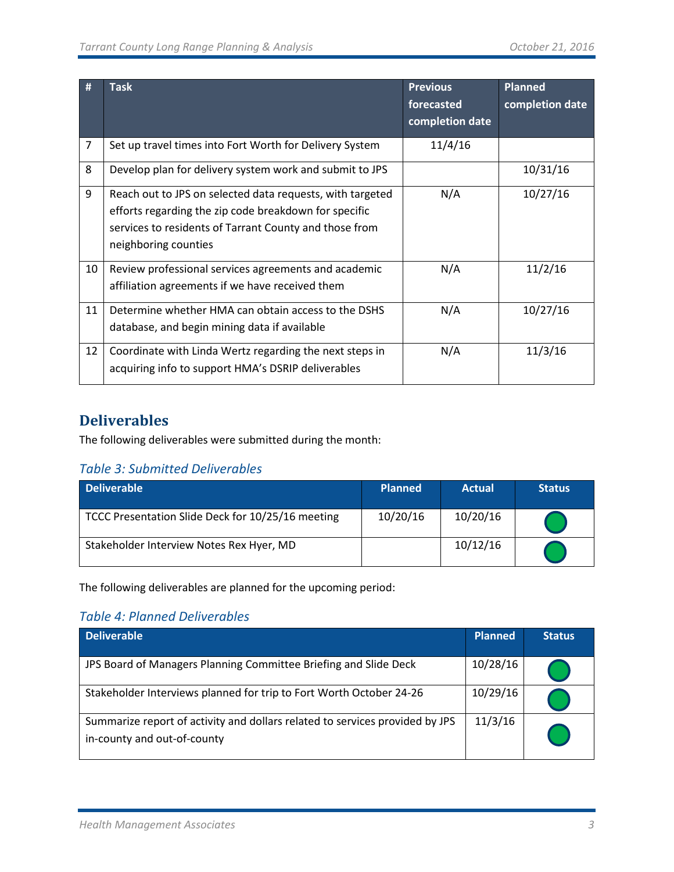| #              | <b>Task</b>                                                                                                                                                                                          | <b>Previous</b><br>forecasted<br>completion date | <b>Planned</b><br>completion date |
|----------------|------------------------------------------------------------------------------------------------------------------------------------------------------------------------------------------------------|--------------------------------------------------|-----------------------------------|
| $\overline{7}$ | Set up travel times into Fort Worth for Delivery System                                                                                                                                              | 11/4/16                                          |                                   |
| 8              | Develop plan for delivery system work and submit to JPS                                                                                                                                              |                                                  | 10/31/16                          |
| 9              | Reach out to JPS on selected data requests, with targeted<br>efforts regarding the zip code breakdown for specific<br>services to residents of Tarrant County and those from<br>neighboring counties | N/A                                              | 10/27/16                          |
| 10             | Review professional services agreements and academic<br>affiliation agreements if we have received them                                                                                              | N/A                                              | 11/2/16                           |
| 11             | Determine whether HMA can obtain access to the DSHS<br>database, and begin mining data if available                                                                                                  | N/A                                              | 10/27/16                          |
| 12             | Coordinate with Linda Wertz regarding the next steps in<br>acquiring info to support HMA's DSRIP deliverables                                                                                        | N/A                                              | 11/3/16                           |

### <span id="page-4-0"></span>**Deliverables**

The following deliverables were submitted during the month:

#### <span id="page-4-1"></span>*Table 3: Submitted Deliverables*

| <b>Deliverable</b>                                | <b>Planned</b> | <b>Actual</b> | <b>Status</b> |
|---------------------------------------------------|----------------|---------------|---------------|
| TCCC Presentation Slide Deck for 10/25/16 meeting | 10/20/16       | 10/20/16      |               |
| Stakeholder Interview Notes Rex Hyer, MD          |                | 10/12/16      |               |

The following deliverables are planned for the upcoming period:

#### <span id="page-4-2"></span>*Table 4: Planned Deliverables*

| <b>Deliverable</b>                                                                                          | <b>Planned</b> | <b>Status</b> |
|-------------------------------------------------------------------------------------------------------------|----------------|---------------|
| JPS Board of Managers Planning Committee Briefing and Slide Deck                                            | 10/28/16       |               |
| Stakeholder Interviews planned for trip to Fort Worth October 24-26                                         | 10/29/16       |               |
| Summarize report of activity and dollars related to services provided by JPS<br>in-county and out-of-county | 11/3/16        |               |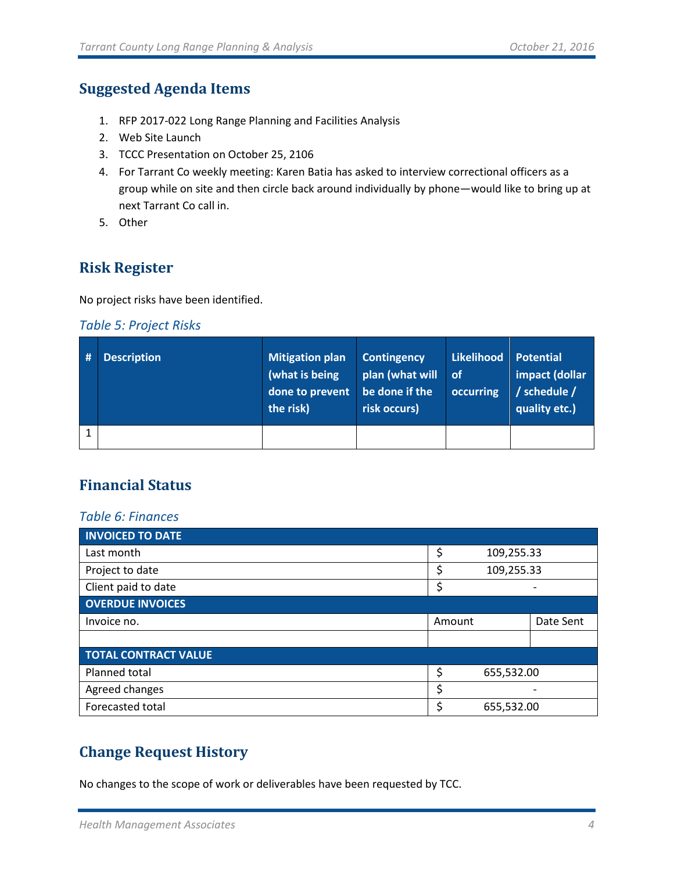#### <span id="page-5-0"></span>**Suggested Agenda Items**

- 1. RFP 2017-022 Long Range Planning and Facilities Analysis
- 2. Web Site Launch
- 3. TCCC Presentation on October 25, 2106
- 4. For Tarrant Co weekly meeting: Karen Batia has asked to interview correctional officers as a group while on site and then circle back around individually by phone—would like to bring up at next Tarrant Co call in.
- 5. Other

#### <span id="page-5-1"></span>**Risk Register**

No project risks have been identified.

#### <span id="page-5-2"></span>*Table 5: Project Risks*

| <b>Description</b> | <b>Mitigation plan</b><br>(what is being<br>done to prevent<br>the risk) | <b>Contingency</b><br>plan (what will<br>be done if the<br>risk occurs) | Likelihood<br>∣ of<br>occurring | <b>Potential</b><br>impact (dollar<br>/ schedule /<br>quality etc.) |
|--------------------|--------------------------------------------------------------------------|-------------------------------------------------------------------------|---------------------------------|---------------------------------------------------------------------|
|                    |                                                                          |                                                                         |                                 |                                                                     |

### <span id="page-5-3"></span>**Financial Status**

#### <span id="page-5-4"></span>*Table 6: Finances*

| <b>INVOICED TO DATE</b>     |                  |            |           |
|-----------------------------|------------------|------------|-----------|
| Last month                  | \$<br>109,255.33 |            |           |
| Project to date             | \$<br>109,255.33 |            |           |
| Client paid to date         | \$               |            |           |
| <b>OVERDUE INVOICES</b>     |                  |            |           |
| Invoice no.                 | Amount           |            | Date Sent |
|                             |                  |            |           |
| <b>TOTAL CONTRACT VALUE</b> |                  |            |           |
| Planned total               | \$               | 655,532.00 |           |
| Agreed changes              | \$               |            |           |
| Forecasted total            | \$<br>655,532.00 |            |           |

#### <span id="page-5-5"></span>**Change Request History**

No changes to the scope of work or deliverables have been requested by TCC.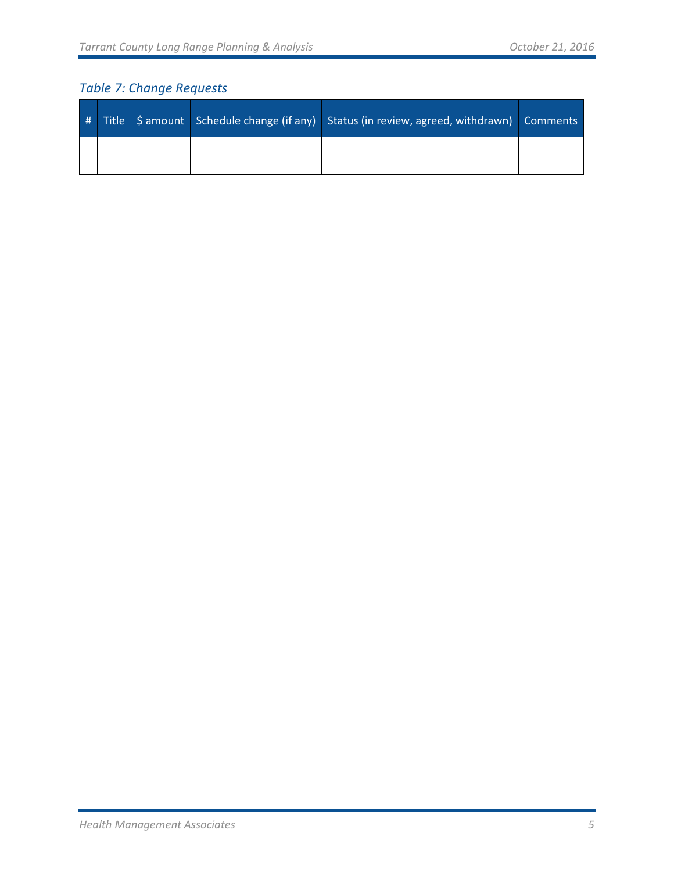# <span id="page-6-0"></span>*Table 7: Change Requests*

|  |  | # Title Samount Schedule change (if any) Status (in review, agreed, withdrawn) Comments |  |
|--|--|-----------------------------------------------------------------------------------------|--|
|  |  |                                                                                         |  |